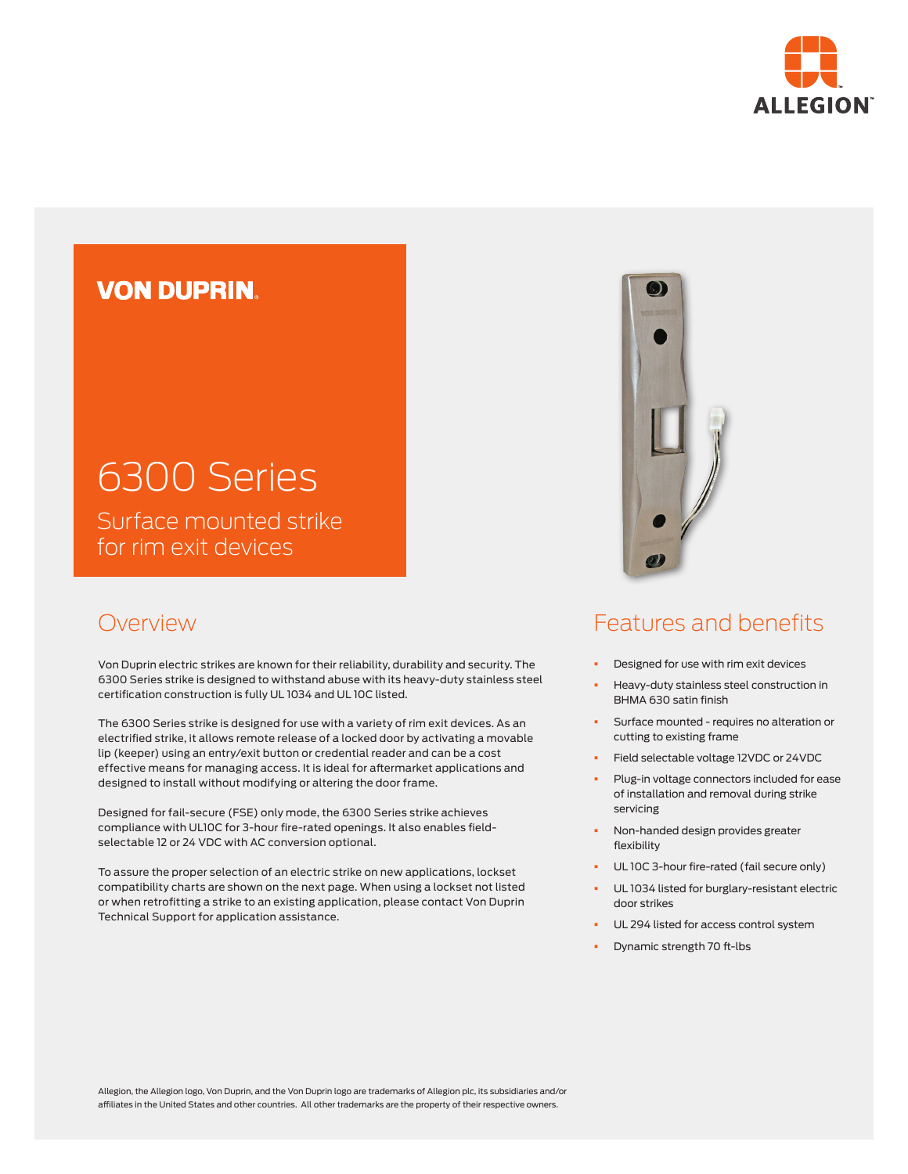

## **VON DUPRIN**

# 6300 Series Surface mounted strike for rim exit devices

Overview

Von Duprin electric strikes are known for their reliability, durability and security. The 6300 Series strike is designed to withstand abuse with its heavy-duty stainless steel certification construction is fully UL 1034 and UL 10C listed.

The 6300 Series strike is designed for use with a variety of rim exit devices. As an electrified strike, it allows remote release of a locked door by activating a movable lip (keeper) using an entry/exit button or credential reader and can be a cost effective means for managing access. It is ideal for aftermarket applications and designed to install without modifying or altering the door frame.

Designed for fail-secure (FSE) only mode, the 6300 Series strike achieves compliance with UL10C for 3-hour fire-rated openings. It also enables fieldselectable 12 or 24 VDC with AC conversion optional.

To assure the proper selection of an electric strike on new applications, lockset compatibility charts are shown on the next page. When using a lockset not listed or when retrofitting a strike to an existing application, please contact Von Duprin Technical Support for application assistance.



## Features and benefits

- Designed for use with rim exit devices
- § Heavy-duty stainless steel construction in BHMA 630 satin finish
- **•** Surface mounted requires no alteration or cutting to existing frame
- § Field selectable voltage 12VDC or 24VDC
- Plug-in voltage connectors included for ease of installation and removal during strike servicing
- § Non-handed design provides greater flexibility
- UL 10C 3-hour fire-rated (fail secure only)
- UL 1034 listed for burglary-resistant electric door strikes
- UL 294 listed for access control system
- § Dynamic strength 70 ft-lbs

Allegion, the Allegion logo, Von Duprin, and the Von Duprin logo are trademarks of Allegion plc, its subsidiaries and/or affiliates in the United States and other countries. All other trademarks are the property of their respective owners.